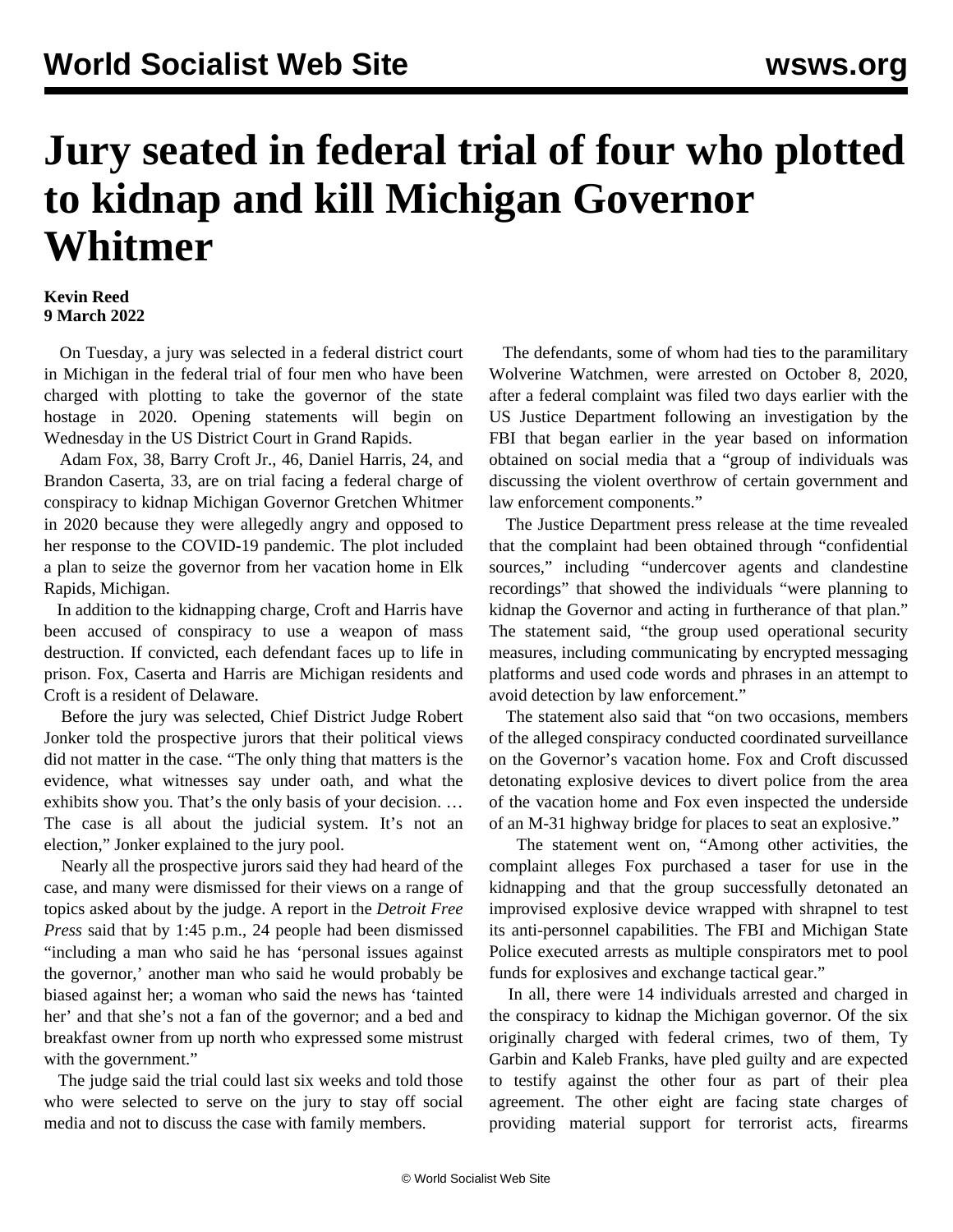## **Jury seated in federal trial of four who plotted to kidnap and kill Michigan Governor Whitmer**

## **Kevin Reed 9 March 2022**

 On Tuesday, a jury was selected in a federal district court in Michigan in the federal trial of four men who have been charged with plotting to take the governor of the state hostage in 2020. Opening statements will begin on Wednesday in the US District Court in Grand Rapids.

 Adam Fox, 38, Barry Croft Jr., 46, Daniel Harris, 24, and Brandon Caserta, 33, are on trial facing a federal charge of conspiracy to kidnap Michigan Governor Gretchen Whitmer in 2020 because they were allegedly angry and opposed to her response to the COVID-19 pandemic. The plot included a plan to seize the governor from her vacation home in Elk Rapids, Michigan.

 In addition to the kidnapping charge, Croft and Harris have been accused of conspiracy to use a weapon of mass destruction. If convicted, each defendant faces up to life in prison. Fox, Caserta and Harris are Michigan residents and Croft is a resident of Delaware.

 Before the jury was selected, Chief District Judge Robert Jonker told the prospective jurors that their political views did not matter in the case. "The only thing that matters is the evidence, what witnesses say under oath, and what the exhibits show you. That's the only basis of your decision. … The case is all about the judicial system. It's not an election," Jonker explained to the jury pool.

 Nearly all the prospective jurors said they had heard of the case, and many were dismissed for their views on a range of topics asked about by the judge. A report in the *Detroit Free Press* said that by 1:45 p.m., 24 people had been dismissed "including a man who said he has 'personal issues against the governor,' another man who said he would probably be biased against her; a woman who said the news has 'tainted her' and that she's not a fan of the governor; and a bed and breakfast owner from up north who expressed some mistrust with the government."

 The judge said the trial could last six weeks and told those who were selected to serve on the jury to stay off social media and not to discuss the case with family members.

 The defendants, some of whom had ties to the paramilitary Wolverine Watchmen, were arrested on October 8, 2020, after a federal complaint was filed two days earlier with the US Justice Department following an investigation by the FBI that began earlier in the year based on information obtained on social media that a "group of individuals was discussing the violent overthrow of certain government and law enforcement components."

 The Justice Department press release at the time revealed that the complaint had been obtained through "confidential sources," including "undercover agents and clandestine recordings" that showed the individuals "were planning to kidnap the Governor and acting in furtherance of that plan." The statement said, "the group used operational security measures, including communicating by encrypted messaging platforms and used code words and phrases in an attempt to avoid detection by law enforcement."

 The statement also said that "on two occasions, members of the alleged conspiracy conducted coordinated surveillance on the Governor's vacation home. Fox and Croft discussed detonating explosive devices to divert police from the area of the vacation home and Fox even inspected the underside of an M-31 highway bridge for places to seat an explosive."

 The statement went on, "Among other activities, the complaint alleges Fox purchased a taser for use in the kidnapping and that the group successfully detonated an improvised explosive device wrapped with shrapnel to test its anti-personnel capabilities. The FBI and Michigan State Police executed arrests as multiple conspirators met to pool funds for explosives and exchange tactical gear."

 In all, there were 14 individuals arrested and charged in the conspiracy to kidnap the Michigan governor. Of the six originally charged with federal crimes, two of them, Ty Garbin and Kaleb Franks, have pled guilty and are expected to testify against the other four as part of their plea agreement. The other eight are facing state charges of providing material support for terrorist acts, firearms